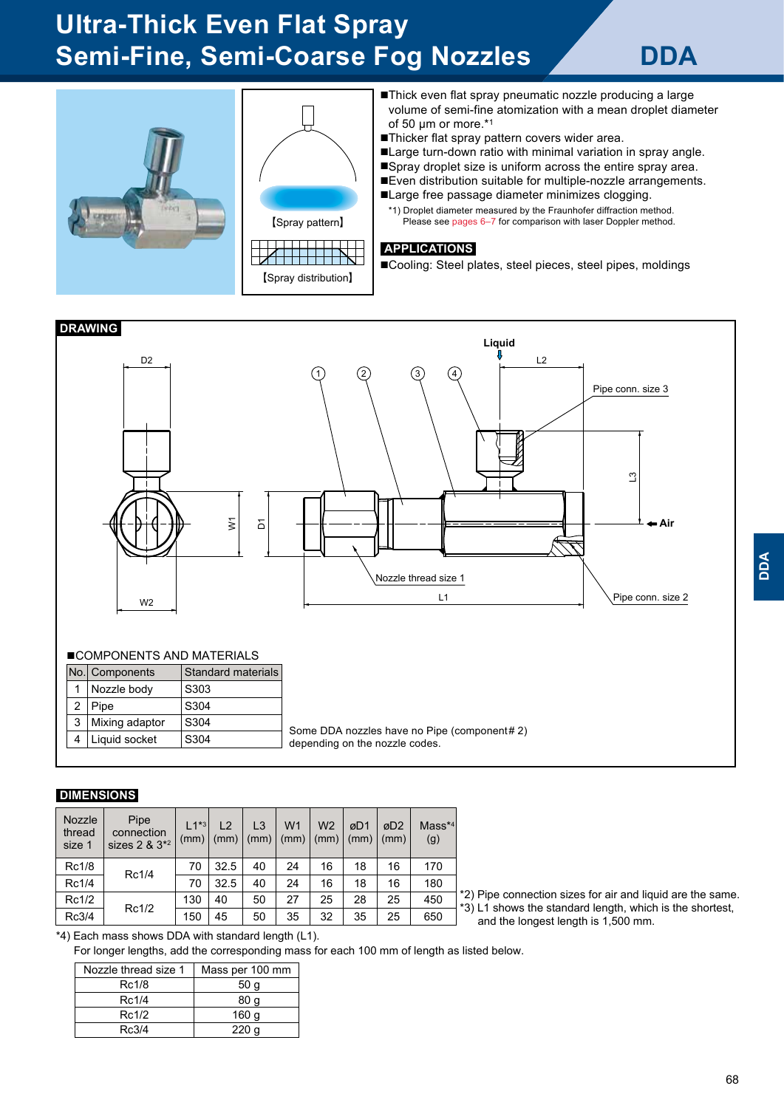# **Ultra-Thick Even Flat Spray Semi-Fine, Semi-Coarse Fog Nozzles / DDA**



【Spray pattern】 <u> I de la Terra de la </u>

【Spray distribution】

- ■Thick even flat spray pneumatic nozzle producing a large volume of semi-fine atomization with a mean droplet diameter of 50 μm or more.\*<sup>1</sup>
- ■Thicker flat spray pattern covers wider area.
- ■Large turn-down ratio with minimal variation in spray angle.
- ■Spray droplet size is uniform across the entire spray area.
- ■Even distribution suitable for multiple-nozzle arrangements.

■Large free passage diameter minimizes clogging.

\*1) Droplet diameter measured by the Fraunhofer diffraction method. Please see pages 6–7 for comparison with laser Doppler method.

#### **APPLICATIONS**

■Cooling: Steel plates, steel pieces, steel pipes, moldings



## ■COMPONENTS AND MATERIALS

|                | No. Components | <b>Standard materials</b> |
|----------------|----------------|---------------------------|
|                | Nozzle body    | S303                      |
| $\overline{2}$ | Pipe           | S304                      |
| 3              | Mixing adaptor | S304                      |
| 4              | Liquid socket  | S304                      |
|                |                |                           |

Some DDA nozzles have no Pipe (component# 2) depending on the nozzle codes.

#### **DIMENSIONS**

| Nozzle<br>thread<br>size 1 | Pipe<br>connection<br>sizes $2 \& 3^{*2}$ | $1^{4*3}$<br>(mm) | 12<br>(mm) | L <sub>3</sub><br>(mm) | W <sub>1</sub><br>(mm) | W <sub>2</sub><br>(mm) | øD1<br>(mm) | øD2<br>(mm) | $Mass**$<br>(g) |
|----------------------------|-------------------------------------------|-------------------|------------|------------------------|------------------------|------------------------|-------------|-------------|-----------------|
| Rc1/8                      | Rc1/4                                     | 70                | 32.5       | 40                     | 24                     | 16                     | 18          | 16          | 170             |
| Rc1/4                      |                                           | 70                | 32.5       | 40                     | 24                     | 16                     | 18          | 16          | 180             |
| Rc1/2                      | Rc1/2                                     | 130               | 40         | 50                     | 27                     | 25                     | 28          | 25          | 450             |
| Rc3/4                      |                                           | 150               | 45         | 50                     | 35                     | 32                     | 35          | 25          | 650             |

\*2) Pipe connection sizes for air and liquid are the same. \*3) L1 shows the standard length, which is the shortest, and the longest length is 1,500 mm.

\*4) Each mass shows DDA with standard length (L1).

For longer lengths, add the corresponding mass for each 100 mm of length as listed below.

| Nozzle thread size 1 | Mass per 100 mm  |
|----------------------|------------------|
| Rc1/8                | 50 <sub>q</sub>  |
| Rc1/4                | 80 a             |
| Rc1/2                | 160 g            |
| Rc3/4                | 220 <sub>a</sub> |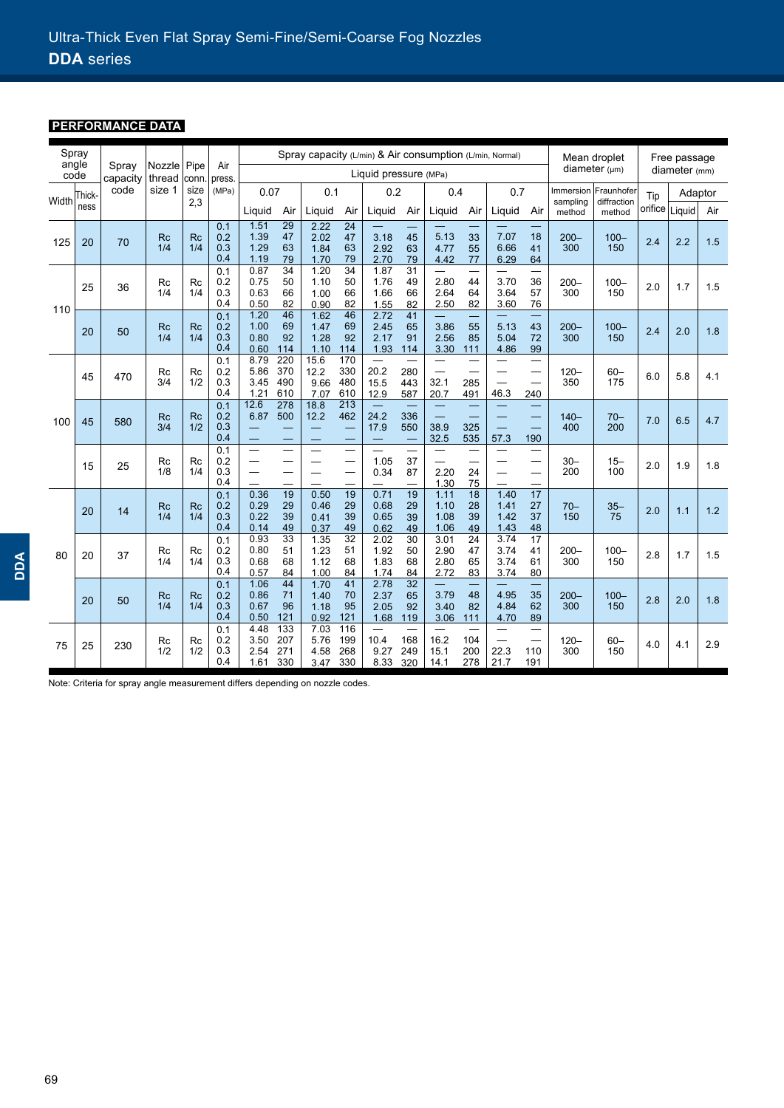## **PERFORMANCE DATA**

| Spray<br>angle<br>Pipe<br>Air<br>Spray<br>Nozzle |        | Spray capacity (L/min) & Air consumption (L/min, Normal) |                  |                  |                          |                              |                                   |                               | Mean droplet                       |                              | Free passage            |                                          |                      |                                                                      |                                                             |                    |                                     |     |                  |     |
|--------------------------------------------------|--------|----------------------------------------------------------|------------------|------------------|--------------------------|------------------------------|-----------------------------------|-------------------------------|------------------------------------|------------------------------|-------------------------|------------------------------------------|----------------------|----------------------------------------------------------------------|-------------------------------------------------------------|--------------------|-------------------------------------|-----|------------------|-----|
|                                                  | code   | capacity                                                 | thread           | conn.            | press.                   |                              | Liquid pressure (MPa)             |                               |                                    |                              |                         |                                          | diameter $(\mu m)$   | diameter (mm)                                                        |                                                             |                    |                                     |     |                  |     |
| Width                                            | Thick- | code                                                     | size 1           | size             | (MPa)                    | 0.07                         |                                   | 0.1                           |                                    | 0.2                          |                         | 0.4                                      |                      | 0.7                                                                  |                                                             |                    | Immersion Fraunhofer<br>diffraction | Tip | Adaptor          |     |
|                                                  | ness   |                                                          |                  | 2,3              |                          | Liguid                       | Air                               | Liquid                        | Air                                | Liguid                       | Air                     | Liquid                                   | Air                  | Liquid                                                               | Air                                                         | sampling<br>method | method                              |     | orifice   Liquid | Air |
| 125                                              | 20     | 70                                                       | <b>Rc</b><br>1/4 | <b>Rc</b><br>1/4 | 0.1<br>0.2<br>0.3<br>0.4 | 1.51<br>1.39<br>1.29<br>1.19 | $\overline{29}$<br>47<br>63<br>79 | 2.22<br>2.02<br>1.84<br>1.70  | 24<br>47<br>63<br>79               | 3.18<br>2.92<br>2.70         | 45<br>63<br>79          | 5.13<br>4.77<br>4.42                     | 33<br>55<br>77       | 7.07<br>6.66<br>6.29                                                 | 18<br>41<br>64                                              | $200 -$<br>300     | $100 -$<br>150                      | 2.4 | 2.2              | 1.5 |
| 110                                              | 25     | 36                                                       | Rc<br>1/4        | Rc<br>1/4        | 0.1<br>0.2<br>0.3<br>0.4 | 0.87<br>0.75<br>0.63<br>0.50 | $\overline{34}$<br>50<br>66<br>82 | 1.20<br>1.10<br>1.00<br>0.90  | $\overline{34}$<br>50<br>66<br>82  | 1.87<br>1.76<br>1.66<br>1.55 | 31<br>49<br>66<br>82    | 2.80<br>2.64<br>2.50                     | 44<br>64<br>82       | 3.70<br>3.64<br>3.60                                                 | —<br>36<br>57<br>76                                         | $200 -$<br>300     | $100 -$<br>150                      | 2.0 | 1.7              | 1.5 |
|                                                  | 20     | 50                                                       | <b>Rc</b><br>1/4 | <b>Rc</b><br>1/4 | 0.1<br>0.2<br>0.3<br>0.4 | 1.20<br>1.00<br>0.80<br>0.60 | 46<br>69<br>92<br>114             | 1.62<br>1.47<br>1.28<br>1.10  | 46<br>69<br>92<br>114              | 2.72<br>2.45<br>2.17<br>1.93 | 41<br>65<br>91<br>114   | 3.86<br>2.56<br>3.30                     | 55<br>85<br>111      | 5.13<br>5.04<br>4.86                                                 | —<br>43<br>72<br>99                                         | $200 -$<br>300     | $100 -$<br>150                      | 2.4 | 2.0              | 1.8 |
| 100                                              | 45     | 470                                                      | Rc<br>3/4        | Rc<br>1/2        | 0.1<br>0.2<br>0.3<br>0.4 | 8.79<br>5.86<br>3.45<br>1.21 | 220<br>370<br>490<br>610          | 15.6<br>12.2<br>9.66<br>7.07  | 170<br>330<br>480<br>610           | 20.2<br>15.5<br>12.9         | 280<br>443<br>587       | $\equiv$<br>32.1<br>20.7                 | 285<br>491           | $\equiv$<br>46.3                                                     | $\overline{\phantom{0}}$<br>$\overline{\phantom{0}}$<br>240 | $120 -$<br>350     | $60 -$<br>175                       | 6.0 | 5.8              | 4.1 |
|                                                  | 45     | 580                                                      | <b>Rc</b><br>3/4 | <b>Rc</b><br>1/2 | 0.1<br>0.2<br>0.3<br>0.4 | 12.6<br>6.87                 | $\frac{278}{ }$<br>500            | 18.8<br>12.2<br>—             | $\overline{213}$<br>462<br>-       | 24.2<br>17.9                 | 336<br>550              | $\equiv$<br>38.9<br>32.5                 | 325<br>535           | 57.3                                                                 | 190                                                         | $140 -$<br>400     | $70 -$<br>200                       | 7.0 | 6.5              | 4.7 |
|                                                  | 15     | 25                                                       | Rc<br>1/8        | Rc<br>1/4        | 0.1<br>0.2<br>0.3<br>0.4 |                              |                                   | $\overline{\phantom{a}}$<br>— | —<br>$\overline{\phantom{0}}$<br>— | 1.05<br>0.34                 | 37<br>87                | $\overline{\phantom{0}}$<br>2.20<br>1.30 | 24<br>75             | $\overline{\phantom{0}}$<br>$\equiv$                                 | —                                                           | $30 -$<br>200      | $15 -$<br>100                       | 2.0 | 1.9              | 1.8 |
|                                                  | 20     | 14                                                       | <b>Rc</b><br>1/4 | <b>Rc</b><br>1/4 | 0.1<br>0.2<br>0.3<br>0.4 | 0.36<br>0.29<br>0.22<br>0.14 | 19<br>29<br>39<br>49              | 0.50<br>0.46<br>0.41<br>0.37  | 19<br>29<br>39<br>49               | 0.71<br>0.68<br>0.65<br>0.62 | 19<br>29<br>39<br>49    | 1.11<br>1.10<br>1.08<br>1.06             | 18<br>28<br>39<br>49 | 1.40<br>1.41<br>1.42<br>1.43                                         | 17<br>27<br>37<br>48                                        | $70 -$<br>150      | $35 -$<br>75                        | 2.0 | 1.1              | 1.2 |
| 80                                               | 20     | 37                                                       | <b>Rc</b><br>1/4 | Rc<br>1/4        | 0.1<br>0.2<br>0.3<br>0.4 | 0.93<br>0.80<br>0.68<br>0.57 | 33<br>51<br>68<br>84              | 1.35<br>1.23<br>1.12<br>1.00  | 32<br>51<br>68<br>84               | 2.02<br>1.92<br>1.83<br>1.74 | 30<br>50<br>68<br>84    | 3.01<br>2.90<br>2.80<br>2.72             | 24<br>47<br>65<br>83 | 3.74<br>3.74<br>3.74<br>3.74                                         | 17<br>41<br>61<br>80                                        | $200 -$<br>300     | $100 -$<br>150                      | 2.8 | 1.7              | 1.5 |
|                                                  | 20     | 50                                                       | <b>Rc</b><br>1/4 | <b>Rc</b><br>1/4 | 0.1<br>0.2<br>0.3<br>0.4 | 1.06<br>0.86<br>0.67<br>0.50 | 44<br>71<br>96<br>121             | 1.70<br>1.40<br>1.18<br>0.92  | 41<br>70<br>95<br>121              | 2.78<br>2.37<br>2.05<br>1.68 | 32<br>65<br>92<br>119   | 3.79<br>3.40<br>3.06                     | 48<br>82<br>111      | 4.95<br>4.84<br>4.70                                                 | 35<br>62<br>89                                              | $200 -$<br>300     | $100 -$<br>150                      | 2.8 | 2.0              | 1.8 |
| 75                                               | 25     | 230                                                      | Rc<br>1/2        | Rc<br>1/2        | 0.1<br>0.2<br>0.3<br>0.4 | 4.48<br>3.50<br>2.54<br>1.61 | 133<br>207<br>271<br>330          | 7.03<br>5.76<br>4.58<br>3.47  | 116<br>199<br>268<br>330           | 10.4<br>9.27<br>8.33         | ÷,<br>168<br>249<br>320 | 16.2<br>15.1<br>14.1                     | 104<br>200<br>278    | $\overline{\phantom{0}}$<br>$\overline{\phantom{0}}$<br>22.3<br>21.7 | —<br>$\overline{\phantom{0}}$<br>110<br>191                 | $120 -$<br>300     | $60 -$<br>150                       | 4.0 | 4.1              | 2.9 |

Note: Criteria for spray angle measurement differs depending on nozzle codes.